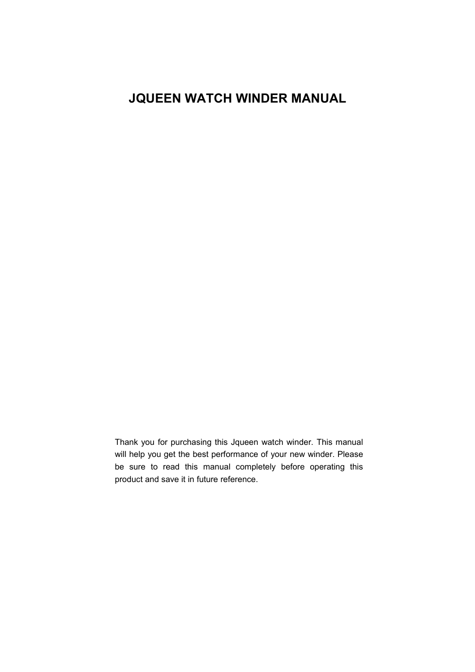# **JQUEEN WATCH WINDER MANUAL**

Thank you for purchasing this Jqueen watch winder. This manual will help you get the best performance of your new winder. Please be sure to read this manual completely before operating this product and save it in future reference.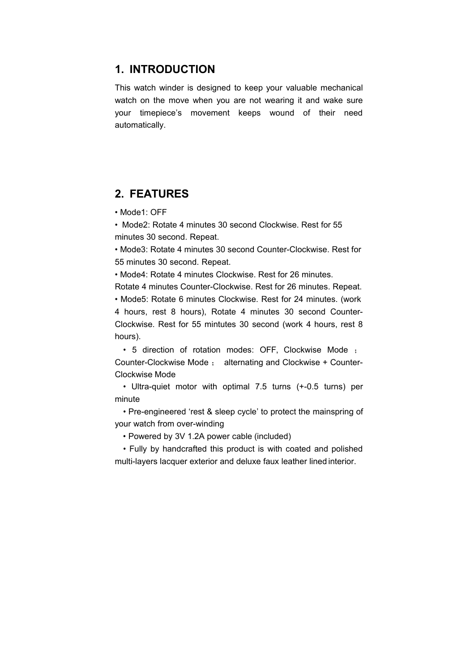#### **1. INTRODUCTION**

This watch winder is designed to keep your valuable mechanical watch on the move when you are not wearing it and wake sure your timepiece's movement keeps wound of their need automatically.

#### **2. FEATURES**

• Mode1: OFF

• Mode2: Rotate 4 minutes 30 second Clockwise. Rest for 55 minutes 30 second. Repeat.

• Mode3: Rotate 4 minutes 30 second Counter-Clockwise. Rest for 55 minutes 30 second. Repeat.

• Mode4: Rotate 4 minutes Clockwise. Rest for 26 minutes.

Rotate 4 minutes Counter-Clockwise. Rest for 26 minutes. Repeat. • Mode5: Rotate 6 minutes Clockwise. Rest for 24 minutes. (work

4 hours, rest 8 hours), Rotate 4 minutes 30 second Counter- Clockwise. Rest for 55 mintutes 30 second (work 4 hours, rest 8 hours).

• 5 direction of rotation modes: OFF, Clockwise Mode ; Counter-Clockwise Mode ; alternating and Clockwise + Counter- Clockwise Mode

• Ultra-quiet motor with optimal 7.5 turns (+-0.5 turns) per minute

• Pre-engineered 'rest & sleep cycle' to protect the mainspring of your watch from over-winding

• Powered by 3V 1.2A power cable (included)

• Fully by handcrafted this product is with coated and polished multi-layers lacquer exterior and deluxe faux leather lined interior.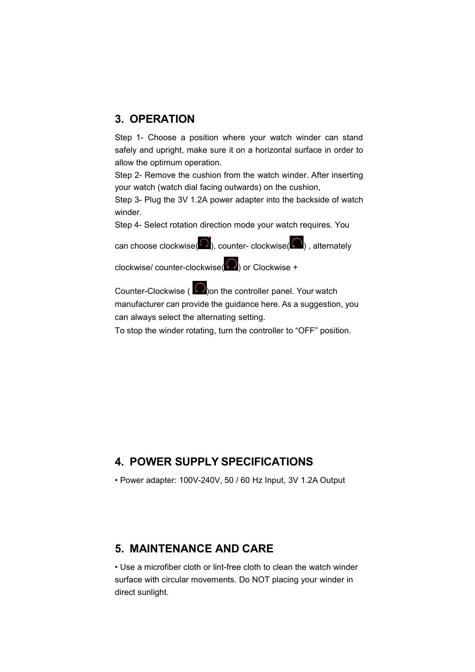## **3. OPERATION**

Step 1- Choose a position where your watch winder can stand safely and upright, make sure it on a horizontal surface in order to allow the optimum operation.

Step 2- Remove the cushion from the watch winder. After inserting your watch (watch dial facing outwards) on the cushion,

Step 3- Plug the 3V 1.2A power adapter into the backside of watch winder.

Step 4- Select rotation direction mode your watch requires. You

can choose clockwise( $\bigcirc$ ), counter- clockwise( $\bigcirc$ ), alternately

clockwise/ counter-clockwise( $\bigcirc$ ) or Clockwise +

Counter-Clockwise ( $\Omega$ ) on the controller panel. Your watch manufacturer can provide the guidance here. As a suggestion, you can always select the alternating setting.

To stop the winder rotating, turn the controller to "OFF" position.

## **4. POWER SUPPLY SPECIFICATIONS**

• Power adapter: 100V-240V, 50 / 60 Hz Input, 3V 1.2A Output

## **5. MAINTENANCE AND CARE**

• Use a microfiber cloth or lint-free cloth to clean the watch winder surface with circular movements. Do NOT placing your winder in direct sunlight.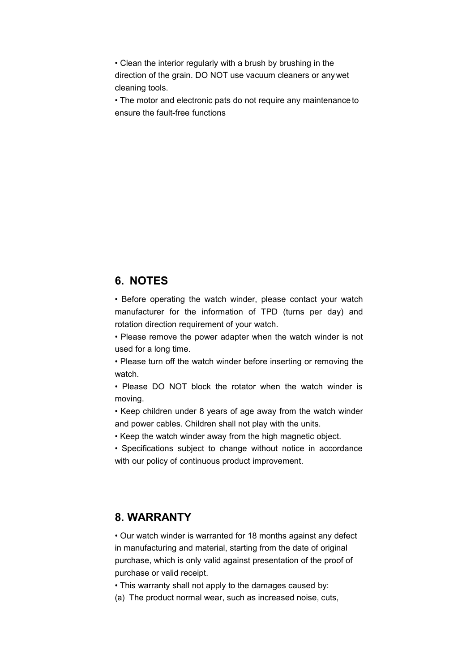• Clean the interior regularly with a brush by brushing in the direction of the grain. DO NOT use vacuum cleaners or anywet cleaning tools.

• The motor and electronic pats do not require any maintenanceto ensure the fault-free functions

#### **6. NOTES**

• Before operating the watch winder, please contact your watch manufacturer for the information of TPD (turns per day) and rotation direction requirement of your watch.

• Please remove the power adapter when the watch winder is not used for a long time.

• Please turn off the watch winder before inserting or removing the watch.

• Please DO NOT block the rotator when the watch winder is moving.

• Keep children under 8 years of age away from the watch winder and power cables. Children shall not play with the units.

• Keep the watch winder away from the high magnetic object.

• Specifications subject to change without notice in accordance with our policy of continuous product improvement.

## **8. WARRANTY**

• Our watch winder is warranted for 18 months against any defect in manufacturing and material, starting from the date of original purchase, which is only valid against presentation of the proof of purchase or valid receipt.

• This warranty shall not apply to the damages caused by:

(a) The product normal wear, such as increased noise, cuts,